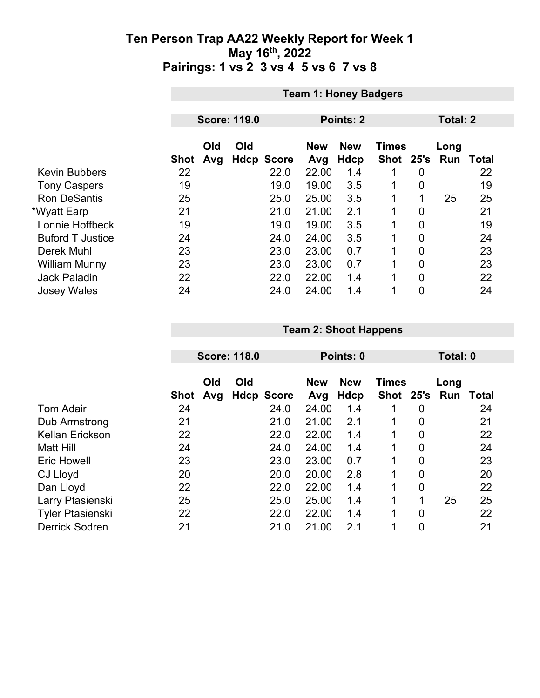|                         |             | <b>Team 1: Honey Badgers</b> |     |                   |                   |                    |                           |                 |      |                  |  |  |
|-------------------------|-------------|------------------------------|-----|-------------------|-------------------|--------------------|---------------------------|-----------------|------|------------------|--|--|
|                         |             |                              |     |                   |                   |                    |                           |                 |      |                  |  |  |
|                         |             | <b>Score: 119.0</b>          |     |                   |                   | Points: 2          |                           | <b>Total: 2</b> |      |                  |  |  |
|                         | <b>Shot</b> | Old<br>Avg                   | Old | <b>Hdcp Score</b> | <b>New</b><br>Avg | <b>New</b><br>Hdcp | <b>Times</b><br>Shot 25's |                 | Long | <b>Run Total</b> |  |  |
| <b>Kevin Bubbers</b>    | 22          |                              |     | 22.0              | 22.00             | 1.4                |                           | 0               |      | 22               |  |  |
| <b>Tony Caspers</b>     | 19          |                              |     | 19.0              | 19.00             | 3.5                | 1                         | 0               |      | 19               |  |  |
| <b>Ron DeSantis</b>     | 25          |                              |     | 25.0              | 25.00             | 3.5                | 1                         | 1               | 25   | 25               |  |  |
| *Wyatt Earp             | 21          |                              |     | 21.0              | 21.00             | 2.1                | 1                         | 0               |      | 21               |  |  |
| Lonnie Hoffbeck         | 19          |                              |     | 19.0              | 19.00             | 3.5                | 1                         | $\overline{0}$  |      | 19               |  |  |
| <b>Buford T Justice</b> | 24          |                              |     | 24.0              | 24.00             | 3.5                | 1                         | $\overline{0}$  |      | 24               |  |  |
| Derek Muhl              | 23          |                              |     | 23.0              | 23.00             | 0.7                | 1                         | 0               |      | 23               |  |  |
| <b>William Munny</b>    | 23          |                              |     | 23.0              | 23.00             | 0.7                | 1                         | $\overline{0}$  |      | 23               |  |  |
| <b>Jack Paladin</b>     | 22          |                              |     | 22.0              | 22.00             | 1.4                | 1                         | $\Omega$        |      | 22               |  |  |
| <b>Josey Wales</b>      | 24          |                              |     | 24.0              | 24.00             | 1.4                | 1                         | 0               |      | 24               |  |  |

#### **Team 2: Shoot Happens**

|                         |             | <b>Score: 118.0</b> |     | Points: 0         |            |            |              | Total: 0       |      |       |
|-------------------------|-------------|---------------------|-----|-------------------|------------|------------|--------------|----------------|------|-------|
|                         |             | Old                 | Old |                   | <b>New</b> | <b>New</b> | <b>Times</b> |                | Long |       |
|                         | <b>Shot</b> | Avg                 |     | <b>Hdcp Score</b> | Avg        | Hdcp       | <b>Shot</b>  | 25's           | Run  | Total |
| <b>Tom Adair</b>        | 24          |                     |     | 24.0              | 24.00      | 1.4        |              | 0              |      | 24    |
| Dub Armstrong           | 21          |                     |     | 21.0              | 21.00      | 2.1        |              | 0              |      | 21    |
| <b>Kellan Erickson</b>  | 22          |                     |     | 22.0              | 22.00      | 1.4        |              | $\overline{0}$ |      | 22    |
| <b>Matt Hill</b>        | 24          |                     |     | 24.0              | 24.00      | 1.4        |              | $\overline{0}$ |      | 24    |
| <b>Eric Howell</b>      | 23          |                     |     | 23.0              | 23.00      | 0.7        |              | $\overline{0}$ |      | 23    |
| CJ Lloyd                | 20          |                     |     | 20.0              | 20.00      | 2.8        | 1            | $\overline{0}$ |      | 20    |
| Dan Lloyd               | 22          |                     |     | 22.0              | 22.00      | 1.4        |              | $\overline{0}$ |      | 22    |
| Larry Ptasienski        | 25          |                     |     | 25.0              | 25.00      | 1.4        |              | 1              | 25   | 25    |
| <b>Tyler Ptasienski</b> | 22          |                     |     | 22.0              | 22.00      | 1.4        |              | $\overline{0}$ |      | 22    |
| <b>Derrick Sodren</b>   | 21          |                     |     | 21.0              | 21.00      | 2.1        |              | $\overline{0}$ |      | 21    |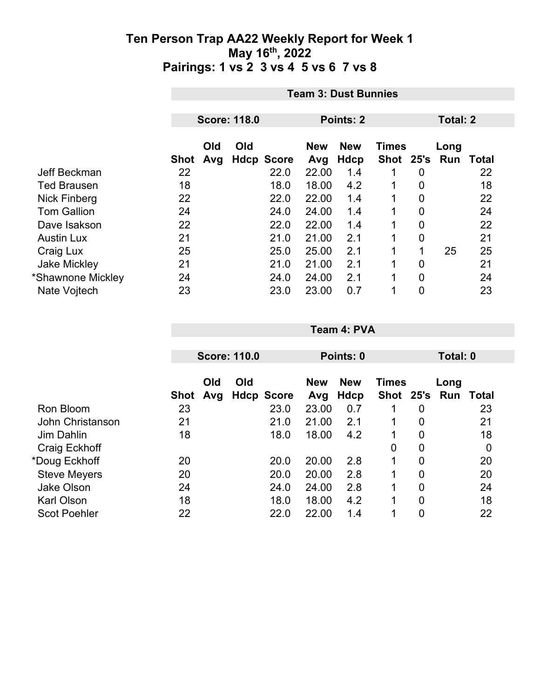|                     |      | <b>Team 3: Dust Bunnies</b> |     |                   |                   |                    |                           |   |                 |       |
|---------------------|------|-----------------------------|-----|-------------------|-------------------|--------------------|---------------------------|---|-----------------|-------|
|                     |      | <b>Score: 118.0</b>         |     |                   |                   | Points: 2          |                           |   | <b>Total: 2</b> |       |
|                     | Shot | Old<br>Avg                  | Old | <b>Hdcp Score</b> | <b>New</b><br>Avg | <b>New</b><br>Hdcp | <b>Times</b><br>Shot 25's |   | Long<br>Run     | Total |
| Jeff Beckman        | 22   |                             |     | 22.0              | 22.00             | 1.4                |                           | 0 |                 | 22    |
| <b>Ted Brausen</b>  | 18   |                             |     | 18.0              | 18.00             | 4.2                | 1                         | 0 |                 | 18    |
| Nick Finberg        | 22   |                             |     | 22.0              | 22.00             | 1.4                |                           | 0 |                 | 22    |
| <b>Tom Gallion</b>  | 24   |                             |     | 24.0              | 24.00             | 1.4                | 1                         | 0 |                 | 24    |
| Dave Isakson        | 22   |                             |     | 22.0              | 22.00             | 1.4                | 1                         | 0 |                 | 22    |
| <b>Austin Lux</b>   | 21   |                             |     | 21.0              | 21.00             | 2.1                | $\mathbf 1$               | 0 |                 | 21    |
| Craig Lux           | 25   |                             |     | 25.0              | 25.00             | 2.1                | 1                         | 1 | 25              | 25    |
| <b>Jake Mickley</b> | 21   |                             |     | 21.0              | 21.00             | 2.1                | $\mathbf{1}$              | 0 |                 | 21    |
| *Shawnone Mickley   | 24   |                             |     | 24.0              | 24.00             | 2.1                | $\mathbf 1$               | 0 |                 | 24    |
| Nate Vojtech        | 23   |                             |     | 23.0              | 23.00             | 0.7                | 4                         | 0 |                 | 23    |

|                     |      |            | <b>Score: 110.0</b> |                   |                                          | Points: 0   |               |                | Total: 0 |              |
|---------------------|------|------------|---------------------|-------------------|------------------------------------------|-------------|---------------|----------------|----------|--------------|
|                     |      | Old<br>Old |                     |                   | <b>New</b><br><b>New</b><br><b>Times</b> |             |               | Long           |          |              |
|                     | Shot | Avg        |                     | <b>Hdcp Score</b> | Avg                                      | <b>Hdcp</b> | Shot 25's Run |                |          | <b>Total</b> |
| Ron Bloom           | 23   |            |                     | 23.0              | 23.00                                    | 0.7         |               | 0              |          | 23           |
| John Christanson    | 21   |            |                     | 21.0              | 21.00                                    | 2.1         | 1             | 0              |          | 21           |
| Jim Dahlin          | 18   |            |                     | 18.0              | 18.00                                    | 4.2         |               | $\overline{0}$ |          | 18           |
| Craig Eckhoff       |      |            |                     |                   |                                          |             | 0             | 0              |          | $\mathbf 0$  |
| *Doug Eckhoff       | 20   |            |                     | 20.0              | 20.00                                    | 2.8         | 1             | 0              |          | 20           |
| <b>Steve Meyers</b> | 20   |            |                     | 20.0              | 20.00                                    | 2.8         |               | 0              |          | 20           |
| <b>Jake Olson</b>   | 24   |            |                     | 24.0              | 24.00                                    | 2.8         | 1             | 0              |          | 24           |
| <b>Karl Olson</b>   | 18   |            |                     | 18.0              | 18.00                                    | 4.2         | 1             | 0              |          | 18           |
| <b>Scot Poehler</b> | 22   |            |                     | 22.0              | 22.00                                    | 1.4         |               | 0              |          | 22           |

**Team 4: PVA**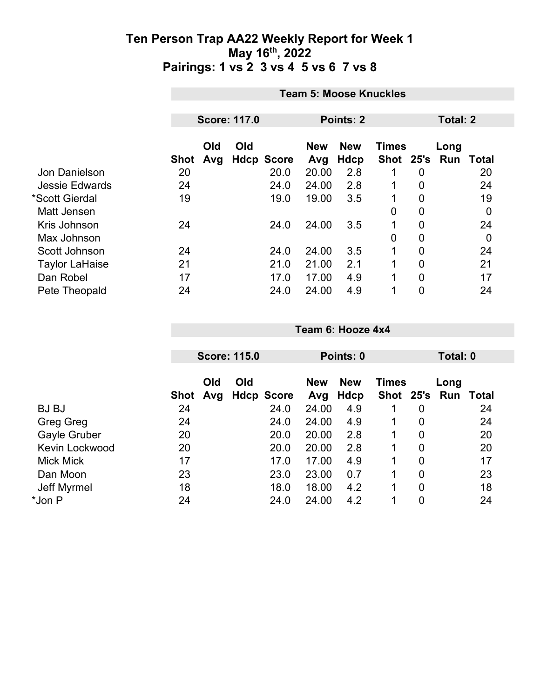|                       | <b>Team 5: Moose Knuckles</b> |            |                     |                   |                   |                    |              |                 |                             |             |
|-----------------------|-------------------------------|------------|---------------------|-------------------|-------------------|--------------------|--------------|-----------------|-----------------------------|-------------|
|                       |                               |            | <b>Score: 117.0</b> |                   |                   | Points: 2          |              | <b>Total: 2</b> |                             |             |
|                       | Shot                          | Old<br>Avg | Old                 | <b>Hdcp Score</b> | <b>New</b><br>Avg | <b>New</b><br>Hdcp | <b>Times</b> |                 | Long<br>Shot 25's Run Total |             |
| Jon Danielson         | 20                            |            |                     | 20.0              | 20.00             | 2.8                |              | 0               |                             | 20          |
| <b>Jessie Edwards</b> | 24                            |            |                     | 24.0              | 24.00             | 2.8                | 1            | 0               |                             | 24          |
| *Scott Gierdal        | 19                            |            |                     | 19.0              | 19.00             | 3.5                |              | 0               |                             | 19          |
| <b>Matt Jensen</b>    |                               |            |                     |                   |                   |                    | 0            | 0               |                             | $\mathbf 0$ |
| Kris Johnson          | 24                            |            |                     | 24.0              | 24.00             | 3.5                | 1            | 0               |                             | 24          |
| Max Johnson           |                               |            |                     |                   |                   |                    | 0            | $\mathbf 0$     |                             | $\mathbf 0$ |
| Scott Johnson         | 24                            |            |                     | 24.0              | 24.00             | 3.5                | 1            | 0               |                             | 24          |
| <b>Taylor LaHaise</b> | 21                            |            |                     | 21.0              | 21.00             | 2.1                | 1            | $\overline{0}$  |                             | 21          |
| Dan Robel             | 17                            |            |                     | 17.0              | 17.00             | 4.9                | 1            | 0               |                             | 17          |
| Pete Theopald         | 24                            |            |                     | 24.0              | 24.00             | 4.9                | 1            | 0               |                             | 24          |

|                       |      |            | <b>Score: 115.0</b>      |                   | Points: 0          |              |                | Total: 0              |       |  |
|-----------------------|------|------------|--------------------------|-------------------|--------------------|--------------|----------------|-----------------------|-------|--|
|                       | Shot | Old<br>Avg | Old<br><b>Hdcp Score</b> | <b>New</b><br>Avg | <b>New</b><br>Hdcp | <b>Times</b> |                | Long<br>Shot 25's Run | Total |  |
| <b>BJBJ</b>           | 24   |            | 24.0                     | 24.00             | 4.9                | 1            | 0              |                       | 24    |  |
| Greg Greg             | 24   |            | 24.0                     | 24.00             | 4.9                | 1            | 0              |                       | 24    |  |
| Gayle Gruber          | 20   |            | 20.0                     | 20.00             | 2.8                |              | 0              |                       | 20    |  |
| <b>Kevin Lockwood</b> | 20   |            | 20.0                     | 20.00             | 2.8                | 1            | 0              |                       | 20    |  |
| <b>Mick Mick</b>      | 17   |            | 17.0                     | 17.00             | 4.9                |              | 0              |                       | 17    |  |
| Dan Moon              | 23   |            | 23.0                     | 23.00             | 0.7                |              | $\overline{0}$ |                       | 23    |  |
| Jeff Myrmel           | 18   |            | 18.0                     | 18.00             | 4.2                |              | $\overline{0}$ |                       | 18    |  |
| *Jon P                | 24   |            | 24.0                     | 24.00             | 4.2                | 1            | $\overline{0}$ |                       | 24    |  |
|                       |      |            |                          |                   |                    |              |                |                       |       |  |

**Team 6: Hooze 4x4**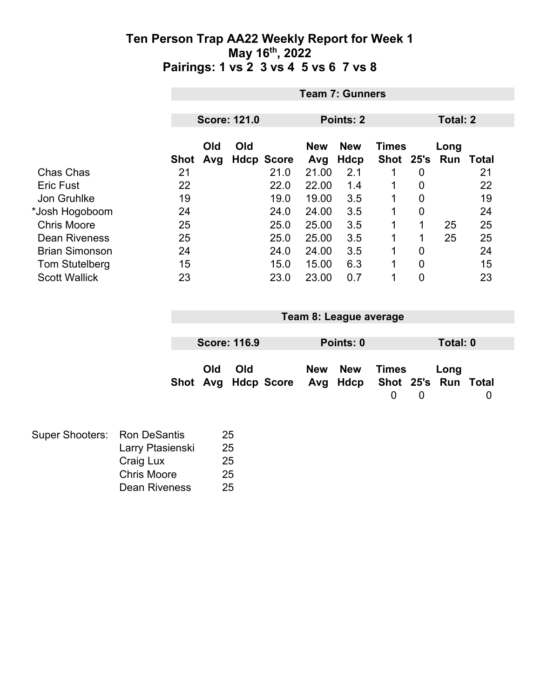|                       |      | <b>Team 7: Gunners</b>   |  |                   |           |                            |           |                |                 |                  |  |
|-----------------------|------|--------------------------|--|-------------------|-----------|----------------------------|-----------|----------------|-----------------|------------------|--|
|                       |      |                          |  |                   |           |                            |           |                |                 |                  |  |
|                       |      | <b>Score: 121.0</b>      |  |                   | Points: 2 |                            |           |                | <b>Total: 2</b> |                  |  |
|                       |      | Old<br>Old<br><b>New</b> |  |                   |           | <b>New</b><br><b>Times</b> |           |                | Long            |                  |  |
|                       | Shot | Avg                      |  | <b>Hdcp Score</b> | Avg       | Hdcp                       | Shot 25's |                |                 | <b>Run Total</b> |  |
| Chas Chas             | 21   |                          |  | 21.0              | 21.00     | 2.1                        | 1         | 0              |                 | 21               |  |
| <b>Eric Fust</b>      | 22   |                          |  | 22.0              | 22.00     | 1.4                        | 1         | 0              |                 | 22               |  |
| Jon Gruhlke           | 19   |                          |  | 19.0              | 19.00     | 3.5                        | 1         | $\overline{0}$ |                 | 19               |  |
| *Josh Hogoboom        | 24   |                          |  | 24.0              | 24.00     | 3.5                        | 1         | 0              |                 | 24               |  |
| <b>Chris Moore</b>    | 25   |                          |  | 25.0              | 25.00     | 3.5                        | 1         |                | 25              | 25               |  |
| <b>Dean Riveness</b>  | 25   |                          |  | 25.0              | 25.00     | 3.5                        | 1         |                | 25              | 25               |  |
| <b>Brian Simonson</b> | 24   |                          |  | 24.0              | 24.00     | 3.5                        | 1         | $\overline{0}$ |                 | 24               |  |
| <b>Tom Stutelberg</b> | 15   |                          |  | 15.0              | 15.00     | 6.3                        | 1         | $\overline{0}$ |                 | 15               |  |
| <b>Scott Wallick</b>  | 23   |                          |  | 23.0              | 23.00     | 0.7                        | 1         | 0              |                 | 23               |  |

| Team 8: League average |                     |  |  |                                                  |       |  |          |  |  |
|------------------------|---------------------|--|--|--------------------------------------------------|-------|--|----------|--|--|
|                        |                     |  |  |                                                  |       |  |          |  |  |
|                        | <b>Score: 116.9</b> |  |  | Points: 0                                        |       |  | Total: 0 |  |  |
|                        |                     |  |  |                                                  |       |  |          |  |  |
| Old                    | <b>Old</b>          |  |  | New New                                          | Times |  | Long     |  |  |
|                        |                     |  |  | Shot Avg Hdcp Score Avg Hdcp Shot 25's Run Total |       |  |          |  |  |
|                        |                     |  |  |                                                  |       |  |          |  |  |

| Super Shooters: Ron DeSantis |                    | 25 |
|------------------------------|--------------------|----|
|                              | Larry Ptasienski   | 25 |
|                              | Craig Lux          | 25 |
|                              | <b>Chris Moore</b> | 25 |
|                              | Dean Riveness      | 25 |
|                              |                    |    |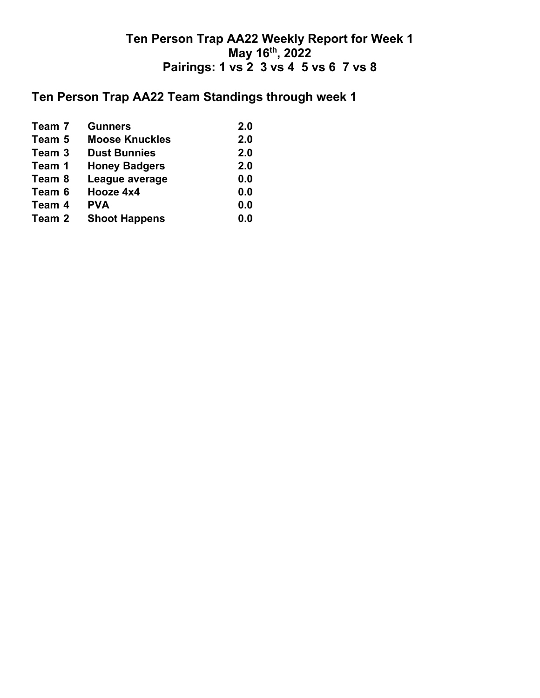## **Ten Person Trap AA22 Team Standings through week 1**

| Team 7 | <b>Gunners</b>        | 2.0 |
|--------|-----------------------|-----|
| Team 5 | <b>Moose Knuckles</b> | 2.0 |
| Team 3 | <b>Dust Bunnies</b>   | 2.0 |
| Team 1 | <b>Honey Badgers</b>  | 2.0 |
| Team 8 | League average        | 0.0 |
| Team 6 | Hooze 4x4             | 0.0 |
| Team 4 | <b>PVA</b>            | 0.0 |
| Team 2 | <b>Shoot Happens</b>  | 0.0 |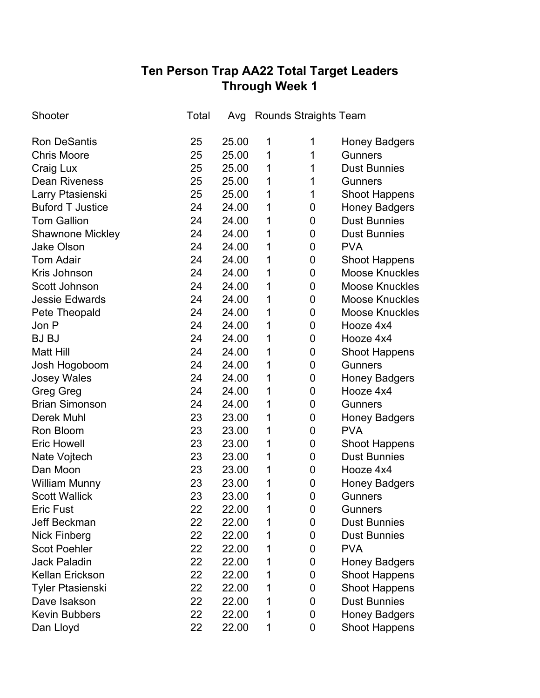# **Ten Person Trap AA22 Total Target Leaders Through Week 1**

| Shooter                 | Total | Avg   |   | <b>Rounds Straights Team</b> |                       |
|-------------------------|-------|-------|---|------------------------------|-----------------------|
| <b>Ron DeSantis</b>     | 25    | 25.00 | 1 | 1                            | Honey Badgers         |
| <b>Chris Moore</b>      | 25    | 25.00 | 1 | 1                            | <b>Gunners</b>        |
| Craig Lux               | 25    | 25.00 | 1 | 1                            | <b>Dust Bunnies</b>   |
| <b>Dean Riveness</b>    | 25    | 25.00 | 1 | 1                            | <b>Gunners</b>        |
| Larry Ptasienski        | 25    | 25.00 | 1 | 1                            | <b>Shoot Happens</b>  |
| <b>Buford T Justice</b> | 24    | 24.00 | 1 | 0                            | <b>Honey Badgers</b>  |
| <b>Tom Gallion</b>      | 24    | 24.00 | 1 | 0                            | <b>Dust Bunnies</b>   |
| <b>Shawnone Mickley</b> | 24    | 24.00 | 1 | $\mathbf 0$                  | <b>Dust Bunnies</b>   |
| <b>Jake Olson</b>       | 24    | 24.00 | 1 | 0                            | <b>PVA</b>            |
| <b>Tom Adair</b>        | 24    | 24.00 | 1 | $\mathbf 0$                  | <b>Shoot Happens</b>  |
| Kris Johnson            | 24    | 24.00 | 1 | 0                            | <b>Moose Knuckles</b> |
| Scott Johnson           | 24    | 24.00 | 1 | $\mathbf 0$                  | <b>Moose Knuckles</b> |
| <b>Jessie Edwards</b>   | 24    | 24.00 | 1 | 0                            | <b>Moose Knuckles</b> |
| Pete Theopald           | 24    | 24.00 | 1 | $\mathbf 0$                  | <b>Moose Knuckles</b> |
| Jon P                   | 24    | 24.00 | 1 | 0                            | Hooze 4x4             |
| <b>BJBJ</b>             | 24    | 24.00 | 1 | 0                            | Hooze 4x4             |
| <b>Matt Hill</b>        | 24    | 24.00 | 1 | 0                            | <b>Shoot Happens</b>  |
| Josh Hogoboom           | 24    | 24.00 | 1 | $\mathbf 0$                  | <b>Gunners</b>        |
| <b>Josey Wales</b>      | 24    | 24.00 | 1 | 0                            | <b>Honey Badgers</b>  |
| <b>Greg Greg</b>        | 24    | 24.00 | 1 | 0                            | Hooze 4x4             |
| <b>Brian Simonson</b>   | 24    | 24.00 | 1 | 0                            | <b>Gunners</b>        |
| <b>Derek Muhl</b>       | 23    | 23.00 | 1 | 0                            | <b>Honey Badgers</b>  |
| Ron Bloom               | 23    | 23.00 | 1 | 0                            | <b>PVA</b>            |
| <b>Eric Howell</b>      | 23    | 23.00 | 1 | 0                            | <b>Shoot Happens</b>  |
| Nate Vojtech            | 23    | 23.00 | 1 | 0                            | <b>Dust Bunnies</b>   |
| Dan Moon                | 23    | 23.00 | 1 | 0                            | Hooze 4x4             |
| <b>William Munny</b>    | 23    | 23.00 | 1 | 0                            | <b>Honey Badgers</b>  |
| <b>Scott Wallick</b>    | 23    | 23.00 | 1 | 0                            | <b>Gunners</b>        |
| <b>Eric Fust</b>        | 22    | 22.00 | 1 | 0                            | <b>Gunners</b>        |
| Jeff Beckman            | 22    | 22.00 | 1 | 0                            | <b>Dust Bunnies</b>   |
| <b>Nick Finberg</b>     | 22    | 22.00 | 1 | 0                            | <b>Dust Bunnies</b>   |
| <b>Scot Poehler</b>     | 22    | 22.00 | 1 | 0                            | <b>PVA</b>            |
| <b>Jack Paladin</b>     | 22    | 22.00 | 1 | 0                            | <b>Honey Badgers</b>  |
| <b>Kellan Erickson</b>  | 22    | 22.00 | 1 | 0                            | <b>Shoot Happens</b>  |
| <b>Tyler Ptasienski</b> | 22    | 22.00 | 1 | 0                            | <b>Shoot Happens</b>  |
| Dave Isakson            | 22    | 22.00 | 1 | 0                            | <b>Dust Bunnies</b>   |
| <b>Kevin Bubbers</b>    | 22    | 22.00 | 1 | 0                            | <b>Honey Badgers</b>  |
| Dan Lloyd               | 22    | 22.00 | 1 | 0                            | <b>Shoot Happens</b>  |